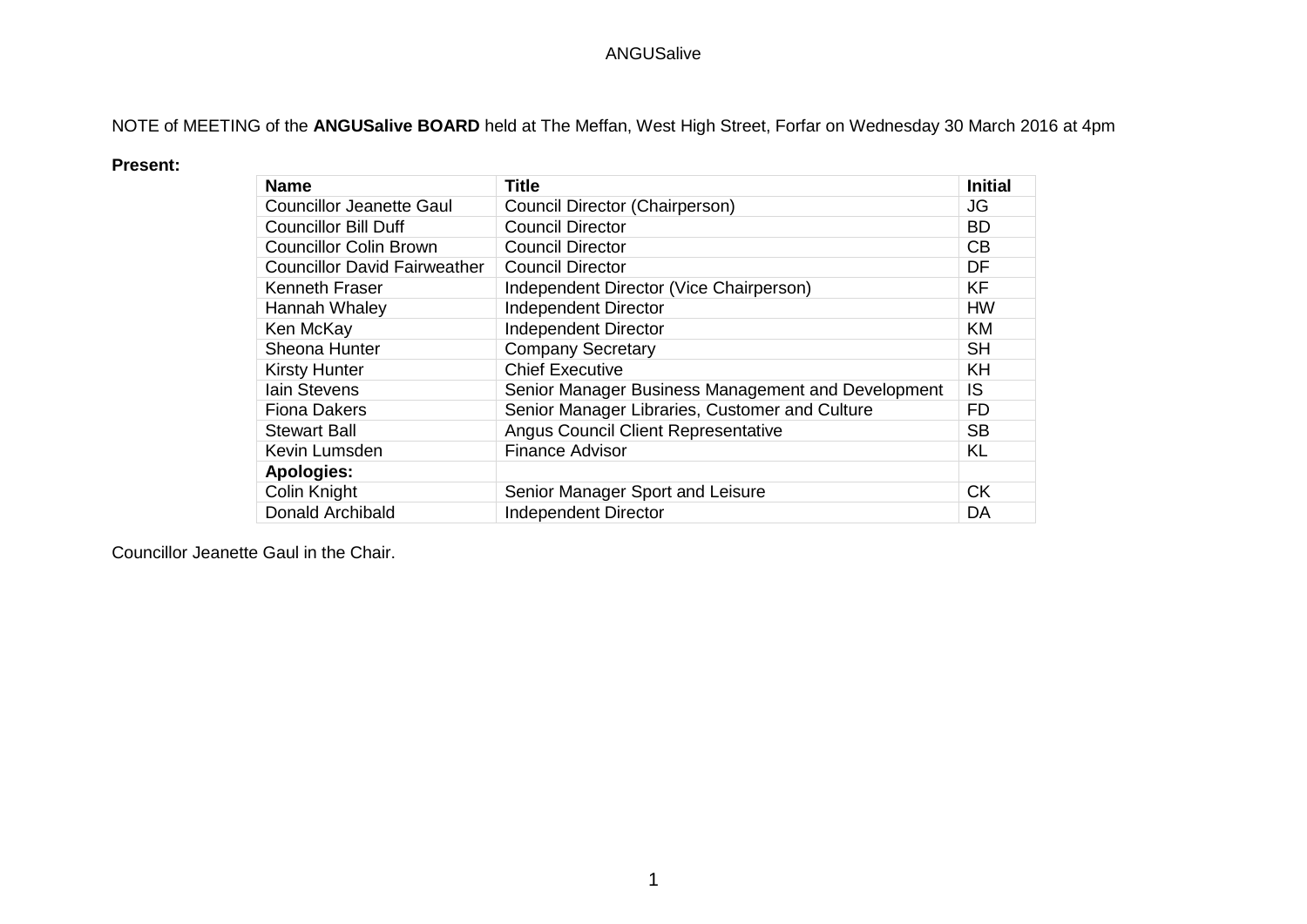NOTE of MEETING of the **ANGUSalive BOARD** held at The Meffan, West High Street, Forfar on Wednesday 30 March 2016 at 4pm

#### **Present:**

| <b>Name</b>                         | <b>Title</b>                                       | <b>Initial</b> |
|-------------------------------------|----------------------------------------------------|----------------|
| <b>Councillor Jeanette Gaul</b>     | Council Director (Chairperson)                     | JG             |
| <b>Councillor Bill Duff</b>         | <b>Council Director</b>                            | <b>BD</b>      |
| <b>Councillor Colin Brown</b>       | <b>Council Director</b>                            | CB             |
| <b>Councillor David Fairweather</b> | <b>Council Director</b>                            | DF             |
| Kenneth Fraser                      | Independent Director (Vice Chairperson)            | <b>KF</b>      |
| Hannah Whaley                       | <b>Independent Director</b>                        | <b>HW</b>      |
| Ken McKay                           | Independent Director                               | <b>KM</b>      |
| Sheona Hunter                       | <b>Company Secretary</b>                           | <b>SH</b>      |
| <b>Kirsty Hunter</b>                | <b>Chief Executive</b>                             | <b>KH</b>      |
| <b>lain Stevens</b>                 | Senior Manager Business Management and Development | IS.            |
| <b>Fiona Dakers</b>                 | Senior Manager Libraries, Customer and Culture     | <b>FD</b>      |
| <b>Stewart Ball</b>                 | <b>Angus Council Client Representative</b>         | <b>SB</b>      |
| Kevin Lumsden                       | <b>Finance Advisor</b>                             | KL             |
| <b>Apologies:</b>                   |                                                    |                |
| Colin Knight                        | Senior Manager Sport and Leisure                   | <b>CK</b>      |
| Donald Archibald                    | <b>Independent Director</b>                        | DA             |

Councillor Jeanette Gaul in the Chair.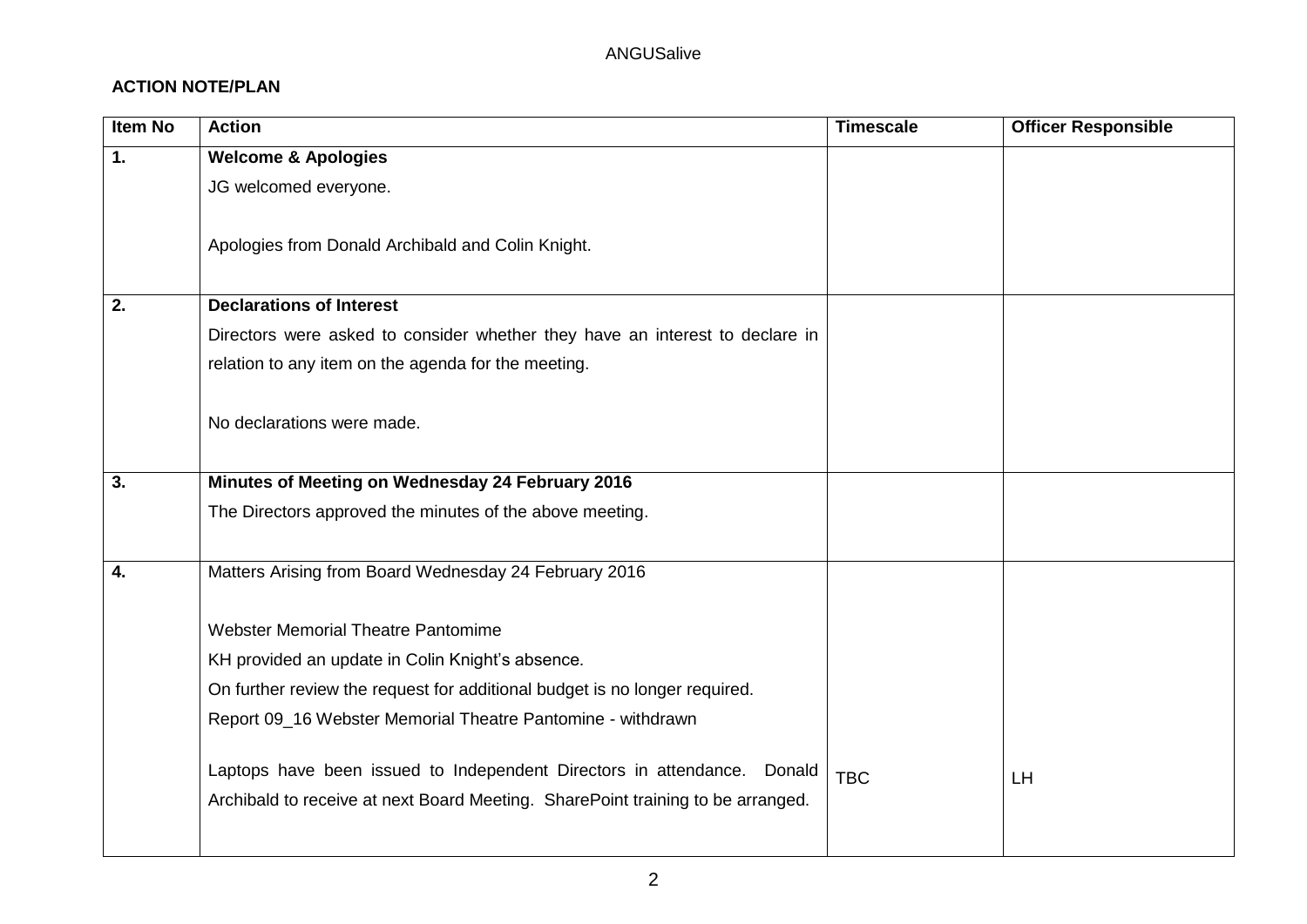## **ACTION NOTE/PLAN**

| <b>Item No</b> | <b>Action</b>                                                                   | <b>Timescale</b> | <b>Officer Responsible</b> |
|----------------|---------------------------------------------------------------------------------|------------------|----------------------------|
| 1.             | <b>Welcome &amp; Apologies</b>                                                  |                  |                            |
|                | JG welcomed everyone.                                                           |                  |                            |
|                |                                                                                 |                  |                            |
|                | Apologies from Donald Archibald and Colin Knight.                               |                  |                            |
|                |                                                                                 |                  |                            |
| 2.             | <b>Declarations of Interest</b>                                                 |                  |                            |
|                | Directors were asked to consider whether they have an interest to declare in    |                  |                            |
|                | relation to any item on the agenda for the meeting.                             |                  |                            |
|                |                                                                                 |                  |                            |
|                | No declarations were made.                                                      |                  |                            |
|                |                                                                                 |                  |                            |
| 3.             | Minutes of Meeting on Wednesday 24 February 2016                                |                  |                            |
|                | The Directors approved the minutes of the above meeting.                        |                  |                            |
|                |                                                                                 |                  |                            |
| 4.             | Matters Arising from Board Wednesday 24 February 2016                           |                  |                            |
|                |                                                                                 |                  |                            |
|                | <b>Webster Memorial Theatre Pantomime</b>                                       |                  |                            |
|                | KH provided an update in Colin Knight's absence.                                |                  |                            |
|                | On further review the request for additional budget is no longer required.      |                  |                            |
|                | Report 09_16 Webster Memorial Theatre Pantomine - withdrawn                     |                  |                            |
|                |                                                                                 |                  |                            |
|                | Laptops have been issued to Independent Directors in attendance. Donald         | <b>TBC</b>       | LH                         |
|                | Archibald to receive at next Board Meeting. SharePoint training to be arranged. |                  |                            |
|                |                                                                                 |                  |                            |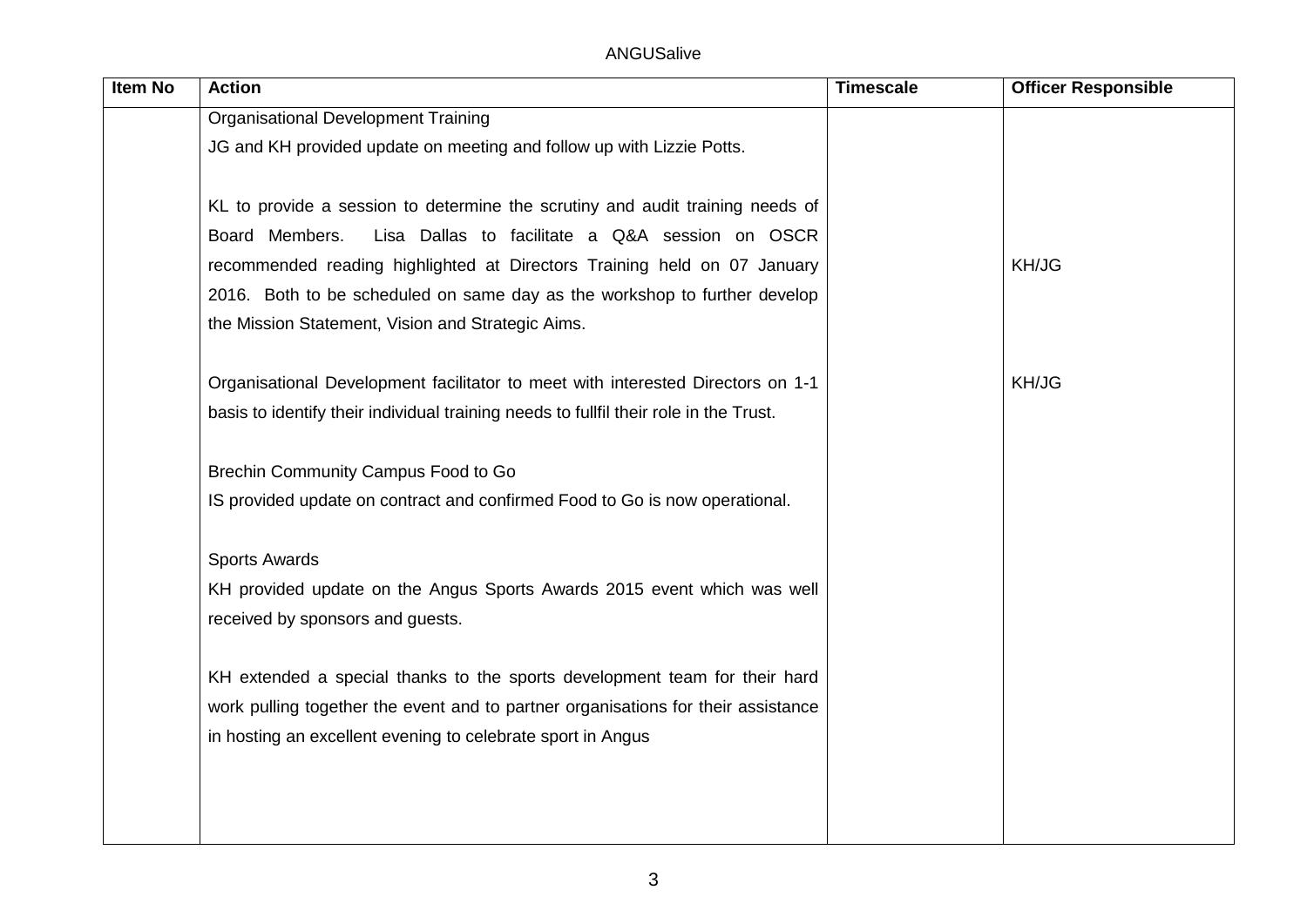| Item No | <b>Action</b>                                                                         | <b>Timescale</b> | <b>Officer Responsible</b> |
|---------|---------------------------------------------------------------------------------------|------------------|----------------------------|
|         | <b>Organisational Development Training</b>                                            |                  |                            |
|         | JG and KH provided update on meeting and follow up with Lizzie Potts.                 |                  |                            |
|         |                                                                                       |                  |                            |
|         | KL to provide a session to determine the scrutiny and audit training needs of         |                  |                            |
|         | Board Members.<br>Lisa Dallas to facilitate a Q&A session on OSCR                     |                  |                            |
|         | recommended reading highlighted at Directors Training held on 07 January              |                  | KH/JG                      |
|         | 2016. Both to be scheduled on same day as the workshop to further develop             |                  |                            |
|         | the Mission Statement, Vision and Strategic Aims.                                     |                  |                            |
|         | Organisational Development facilitator to meet with interested Directors on 1-1       |                  | KH/JG                      |
|         | basis to identify their individual training needs to fullfil their role in the Trust. |                  |                            |
|         | Brechin Community Campus Food to Go                                                   |                  |                            |
|         | IS provided update on contract and confirmed Food to Go is now operational.           |                  |                            |
|         | <b>Sports Awards</b>                                                                  |                  |                            |
|         | KH provided update on the Angus Sports Awards 2015 event which was well               |                  |                            |
|         | received by sponsors and guests.                                                      |                  |                            |
|         | KH extended a special thanks to the sports development team for their hard            |                  |                            |
|         | work pulling together the event and to partner organisations for their assistance     |                  |                            |
|         | in hosting an excellent evening to celebrate sport in Angus                           |                  |                            |
|         |                                                                                       |                  |                            |
|         |                                                                                       |                  |                            |
|         |                                                                                       |                  |                            |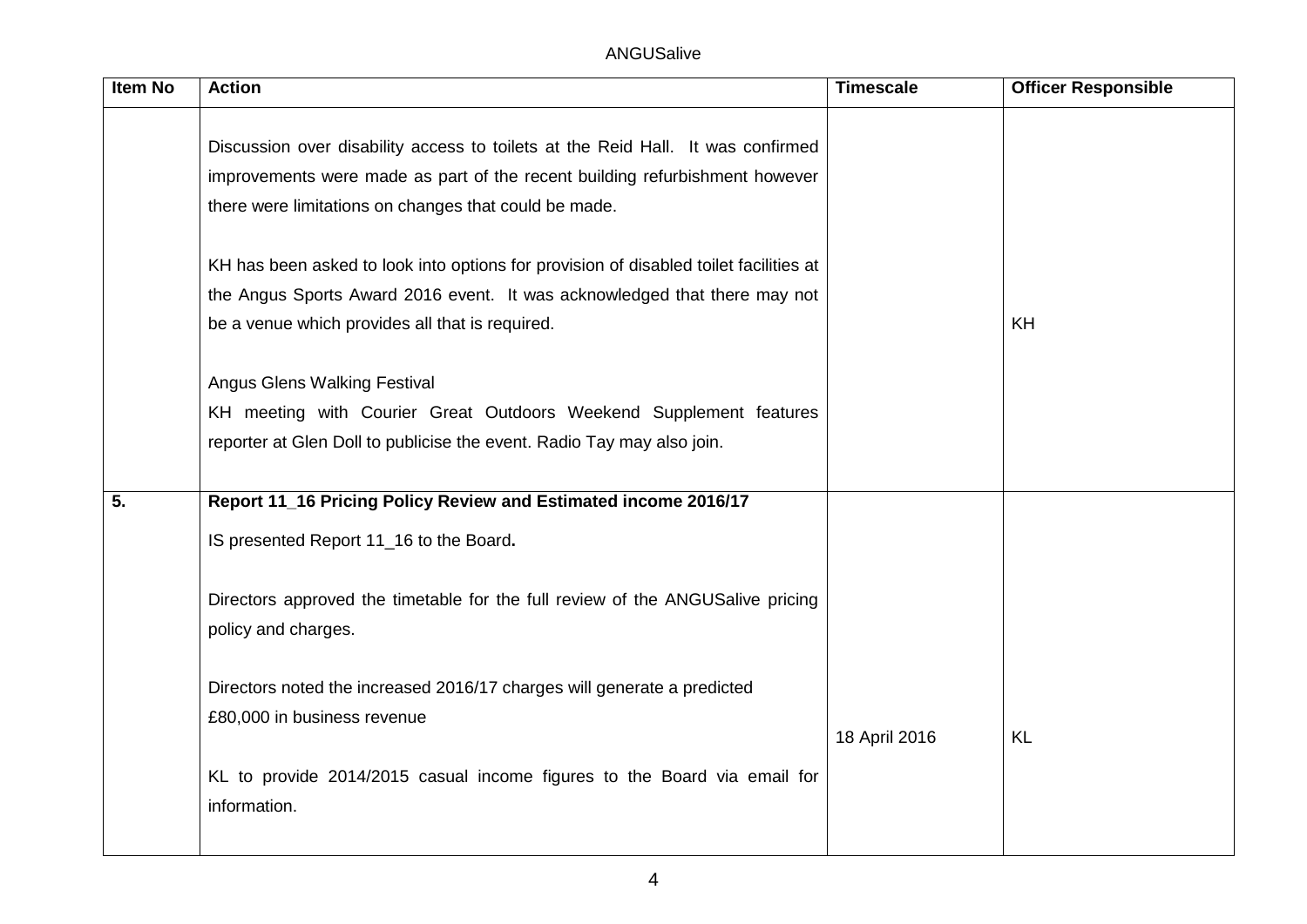| <b>Item No</b> | <b>Action</b>                                                                                         | <b>Timescale</b> | <b>Officer Responsible</b> |
|----------------|-------------------------------------------------------------------------------------------------------|------------------|----------------------------|
|                | Discussion over disability access to toilets at the Reid Hall. It was confirmed                       |                  |                            |
|                | improvements were made as part of the recent building refurbishment however                           |                  |                            |
|                | there were limitations on changes that could be made.                                                 |                  |                            |
|                | KH has been asked to look into options for provision of disabled toilet facilities at                 |                  |                            |
|                | the Angus Sports Award 2016 event. It was acknowledged that there may not                             |                  |                            |
|                | be a venue which provides all that is required.                                                       |                  | KH                         |
|                | <b>Angus Glens Walking Festival</b>                                                                   |                  |                            |
|                | KH meeting with Courier Great Outdoors Weekend Supplement features                                    |                  |                            |
|                | reporter at Glen Doll to publicise the event. Radio Tay may also join.                                |                  |                            |
|                |                                                                                                       |                  |                            |
| 5.             | Report 11_16 Pricing Policy Review and Estimated income 2016/17                                       |                  |                            |
|                | IS presented Report 11_16 to the Board.                                                               |                  |                            |
|                | Directors approved the timetable for the full review of the ANGUSalive pricing<br>policy and charges. |                  |                            |
|                | Directors noted the increased 2016/17 charges will generate a predicted                               |                  |                            |
|                | £80,000 in business revenue                                                                           |                  |                            |
|                |                                                                                                       | 18 April 2016    | <b>KL</b>                  |
|                | KL to provide 2014/2015 casual income figures to the Board via email for                              |                  |                            |
|                | information.                                                                                          |                  |                            |
|                |                                                                                                       |                  |                            |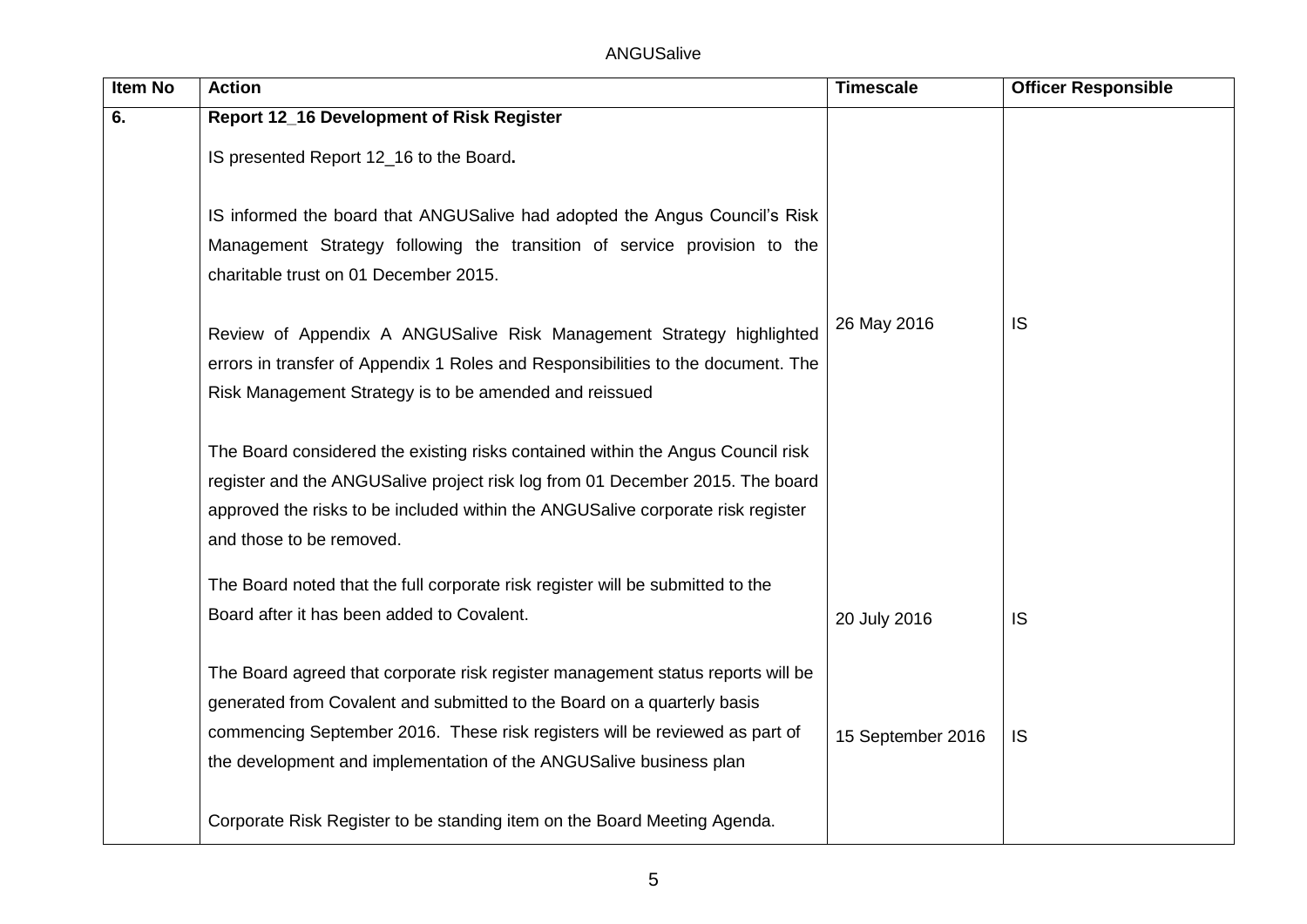| <b>Item No</b> | <b>Action</b>                                                                    | <b>Timescale</b>  | <b>Officer Responsible</b> |
|----------------|----------------------------------------------------------------------------------|-------------------|----------------------------|
| 6.             | Report 12_16 Development of Risk Register                                        |                   |                            |
|                | IS presented Report 12_16 to the Board.                                          |                   |                            |
|                |                                                                                  |                   |                            |
|                | IS informed the board that ANGUSalive had adopted the Angus Council's Risk       |                   |                            |
|                | Management Strategy following the transition of service provision to the         |                   |                            |
|                | charitable trust on 01 December 2015.                                            |                   |                            |
|                | Review of Appendix A ANGUSalive Risk Management Strategy highlighted             | 26 May 2016       | <b>IS</b>                  |
|                | errors in transfer of Appendix 1 Roles and Responsibilities to the document. The |                   |                            |
|                | Risk Management Strategy is to be amended and reissued                           |                   |                            |
|                |                                                                                  |                   |                            |
|                | The Board considered the existing risks contained within the Angus Council risk  |                   |                            |
|                | register and the ANGUSalive project risk log from 01 December 2015. The board    |                   |                            |
|                | approved the risks to be included within the ANGUSalive corporate risk register  |                   |                            |
|                | and those to be removed.                                                         |                   |                            |
|                | The Board noted that the full corporate risk register will be submitted to the   |                   |                            |
|                | Board after it has been added to Covalent.                                       | 20 July 2016      | <b>IS</b>                  |
|                | The Board agreed that corporate risk register management status reports will be  |                   |                            |
|                | generated from Covalent and submitted to the Board on a quarterly basis          |                   |                            |
|                | commencing September 2016. These risk registers will be reviewed as part of      |                   |                            |
|                | the development and implementation of the ANGUSalive business plan               | 15 September 2016 | IS                         |
|                |                                                                                  |                   |                            |
|                | Corporate Risk Register to be standing item on the Board Meeting Agenda.         |                   |                            |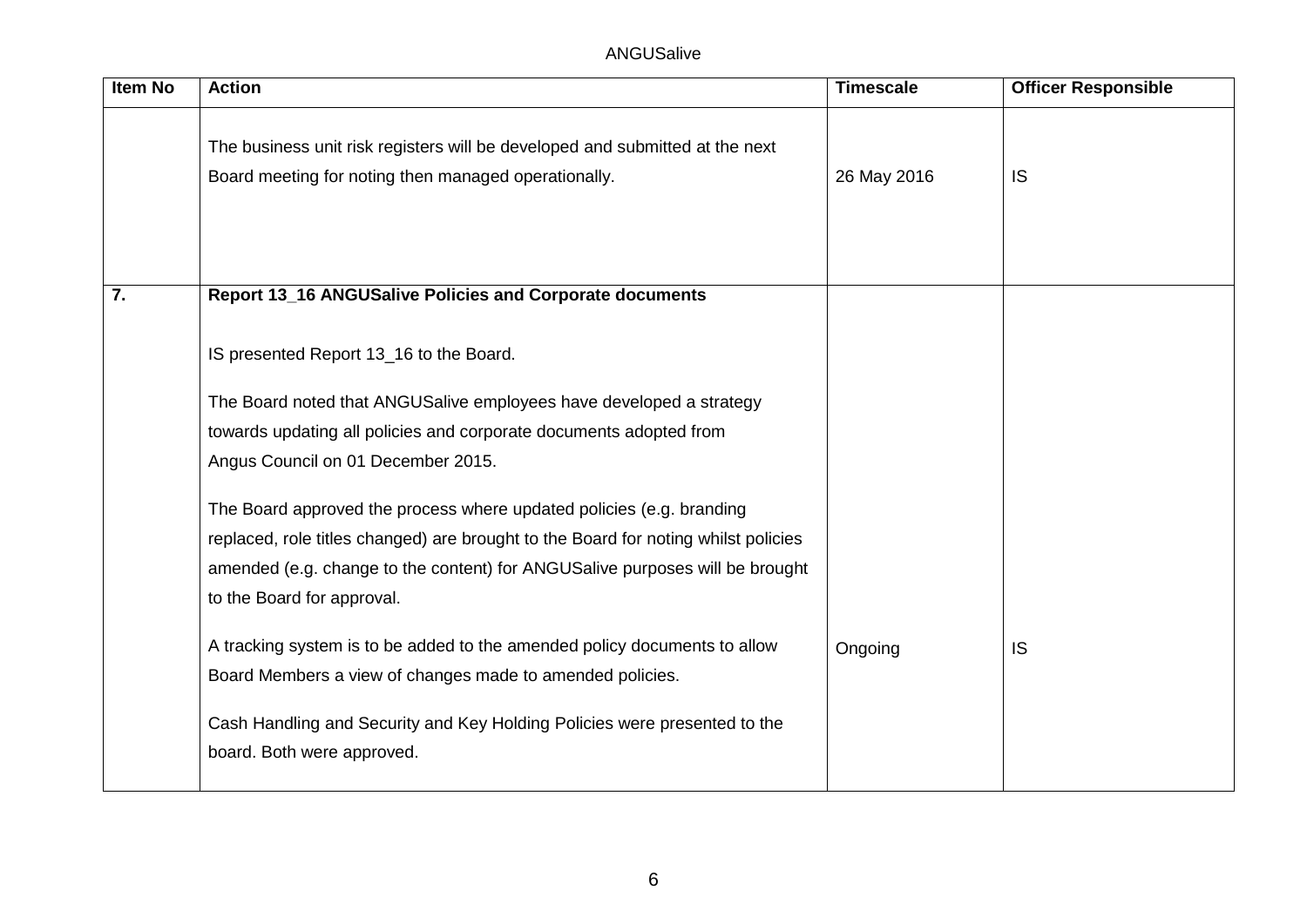| <b>Item No</b> | <b>Action</b>                                                                                                                                                                                                                                                            | <b>Timescale</b> | <b>Officer Responsible</b> |
|----------------|--------------------------------------------------------------------------------------------------------------------------------------------------------------------------------------------------------------------------------------------------------------------------|------------------|----------------------------|
|                | The business unit risk registers will be developed and submitted at the next<br>Board meeting for noting then managed operationally.                                                                                                                                     | 26 May 2016      | <b>IS</b>                  |
| 7.             | Report 13_16 ANGUSalive Policies and Corporate documents                                                                                                                                                                                                                 |                  |                            |
|                | IS presented Report 13_16 to the Board.                                                                                                                                                                                                                                  |                  |                            |
|                |                                                                                                                                                                                                                                                                          |                  |                            |
|                | The Board noted that ANGUSalive employees have developed a strategy                                                                                                                                                                                                      |                  |                            |
|                | towards updating all policies and corporate documents adopted from                                                                                                                                                                                                       |                  |                            |
|                | Angus Council on 01 December 2015.                                                                                                                                                                                                                                       |                  |                            |
|                | The Board approved the process where updated policies (e.g. branding<br>replaced, role titles changed) are brought to the Board for noting whilst policies<br>amended (e.g. change to the content) for ANGUSalive purposes will be brought<br>to the Board for approval. |                  |                            |
|                | A tracking system is to be added to the amended policy documents to allow<br>Board Members a view of changes made to amended policies.                                                                                                                                   | Ongoing          | IS                         |
|                | Cash Handling and Security and Key Holding Policies were presented to the<br>board. Both were approved.                                                                                                                                                                  |                  |                            |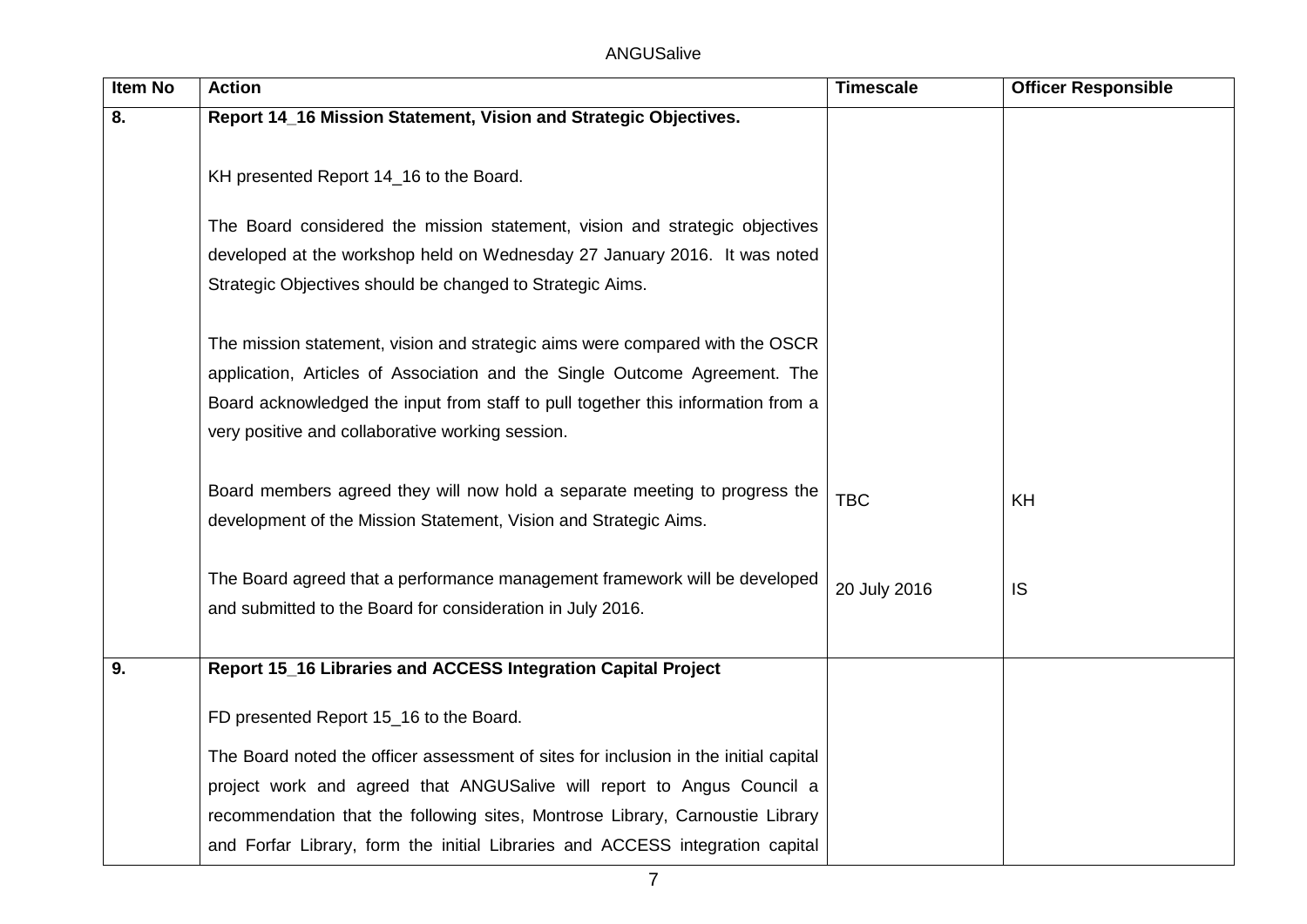| Item No | <b>Action</b>                                                                                                                                                                                                                                                                                      | <b>Timescale</b> | <b>Officer Responsible</b> |
|---------|----------------------------------------------------------------------------------------------------------------------------------------------------------------------------------------------------------------------------------------------------------------------------------------------------|------------------|----------------------------|
| 8.      | Report 14_16 Mission Statement, Vision and Strategic Objectives.                                                                                                                                                                                                                                   |                  |                            |
|         | KH presented Report 14_16 to the Board.                                                                                                                                                                                                                                                            |                  |                            |
|         | The Board considered the mission statement, vision and strategic objectives<br>developed at the workshop held on Wednesday 27 January 2016. It was noted<br>Strategic Objectives should be changed to Strategic Aims.                                                                              |                  |                            |
|         | The mission statement, vision and strategic aims were compared with the OSCR<br>application, Articles of Association and the Single Outcome Agreement. The<br>Board acknowledged the input from staff to pull together this information from a<br>very positive and collaborative working session. |                  |                            |
|         | Board members agreed they will now hold a separate meeting to progress the<br>development of the Mission Statement, Vision and Strategic Aims.                                                                                                                                                     | <b>TBC</b>       | KH                         |
|         | The Board agreed that a performance management framework will be developed<br>and submitted to the Board for consideration in July 2016.                                                                                                                                                           | 20 July 2016     | IS                         |
| 9.      | Report 15_16 Libraries and ACCESS Integration Capital Project                                                                                                                                                                                                                                      |                  |                            |
|         | FD presented Report 15_16 to the Board.<br>The Board noted the officer assessment of sites for inclusion in the initial capital<br>project work and agreed that ANGUSalive will report to Angus Council a<br>recommendation that the following sites, Montrose Library, Carnoustie Library         |                  |                            |
|         | and Forfar Library, form the initial Libraries and ACCESS integration capital                                                                                                                                                                                                                      |                  |                            |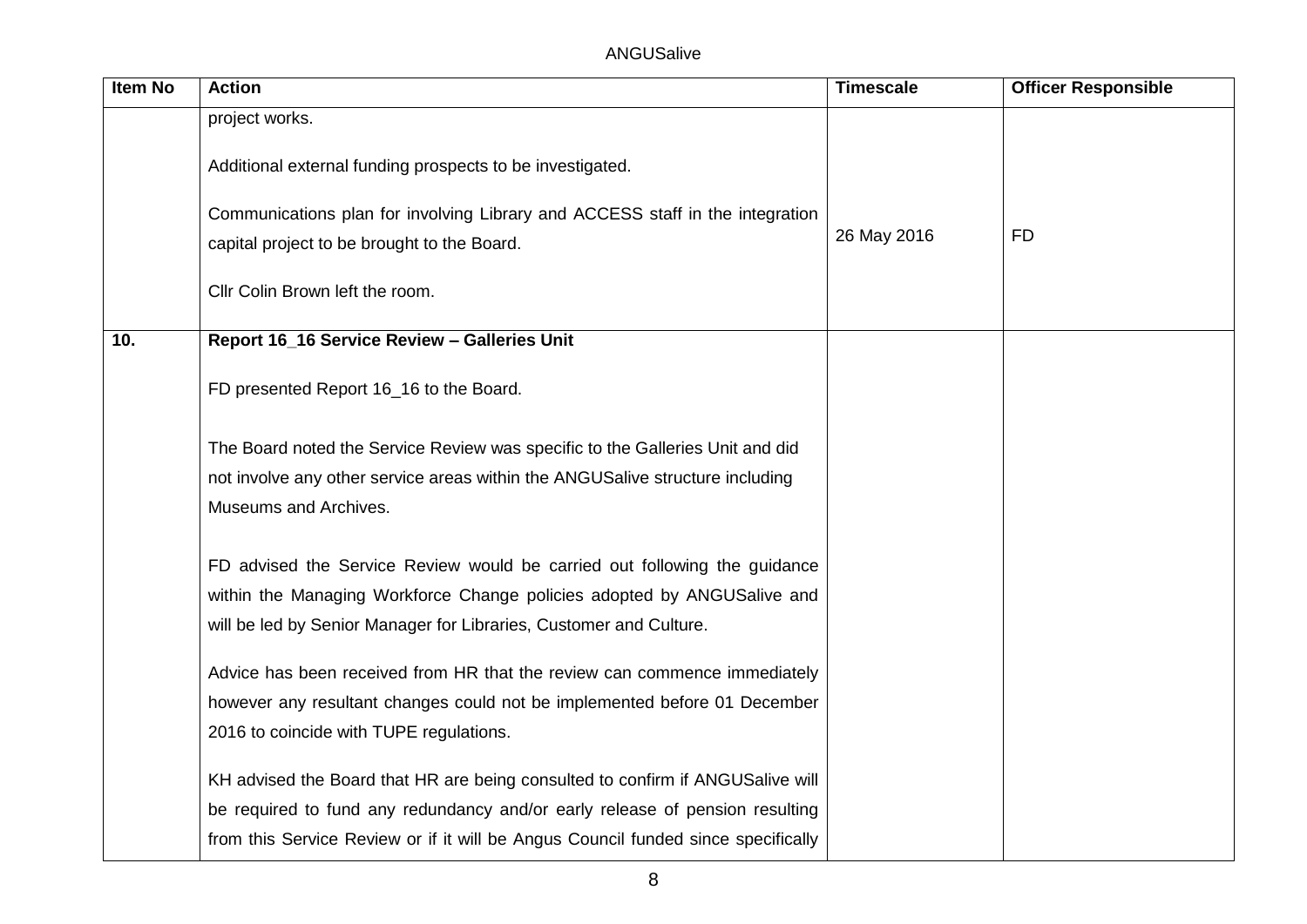| Item No | <b>Action</b>                                                                     | <b>Timescale</b> | <b>Officer Responsible</b> |
|---------|-----------------------------------------------------------------------------------|------------------|----------------------------|
|         | project works.                                                                    |                  |                            |
|         | Additional external funding prospects to be investigated.                         |                  |                            |
|         | Communications plan for involving Library and ACCESS staff in the integration     |                  |                            |
|         | capital project to be brought to the Board.                                       | 26 May 2016      | FD                         |
|         | Cllr Colin Brown left the room.                                                   |                  |                            |
| 10.     | Report 16_16 Service Review - Galleries Unit                                      |                  |                            |
|         | FD presented Report 16_16 to the Board.                                           |                  |                            |
|         | The Board noted the Service Review was specific to the Galleries Unit and did     |                  |                            |
|         | not involve any other service areas within the ANGUSalive structure including     |                  |                            |
|         | Museums and Archives.                                                             |                  |                            |
|         | FD advised the Service Review would be carried out following the guidance         |                  |                            |
|         | within the Managing Workforce Change policies adopted by ANGUSalive and           |                  |                            |
|         | will be led by Senior Manager for Libraries, Customer and Culture.                |                  |                            |
|         | Advice has been received from HR that the review can commence immediately         |                  |                            |
|         | however any resultant changes could not be implemented before 01 December         |                  |                            |
|         | 2016 to coincide with TUPE regulations.                                           |                  |                            |
|         | KH advised the Board that HR are being consulted to confirm if ANGUSalive will    |                  |                            |
|         | be required to fund any redundancy and/or early release of pension resulting      |                  |                            |
|         | from this Service Review or if it will be Angus Council funded since specifically |                  |                            |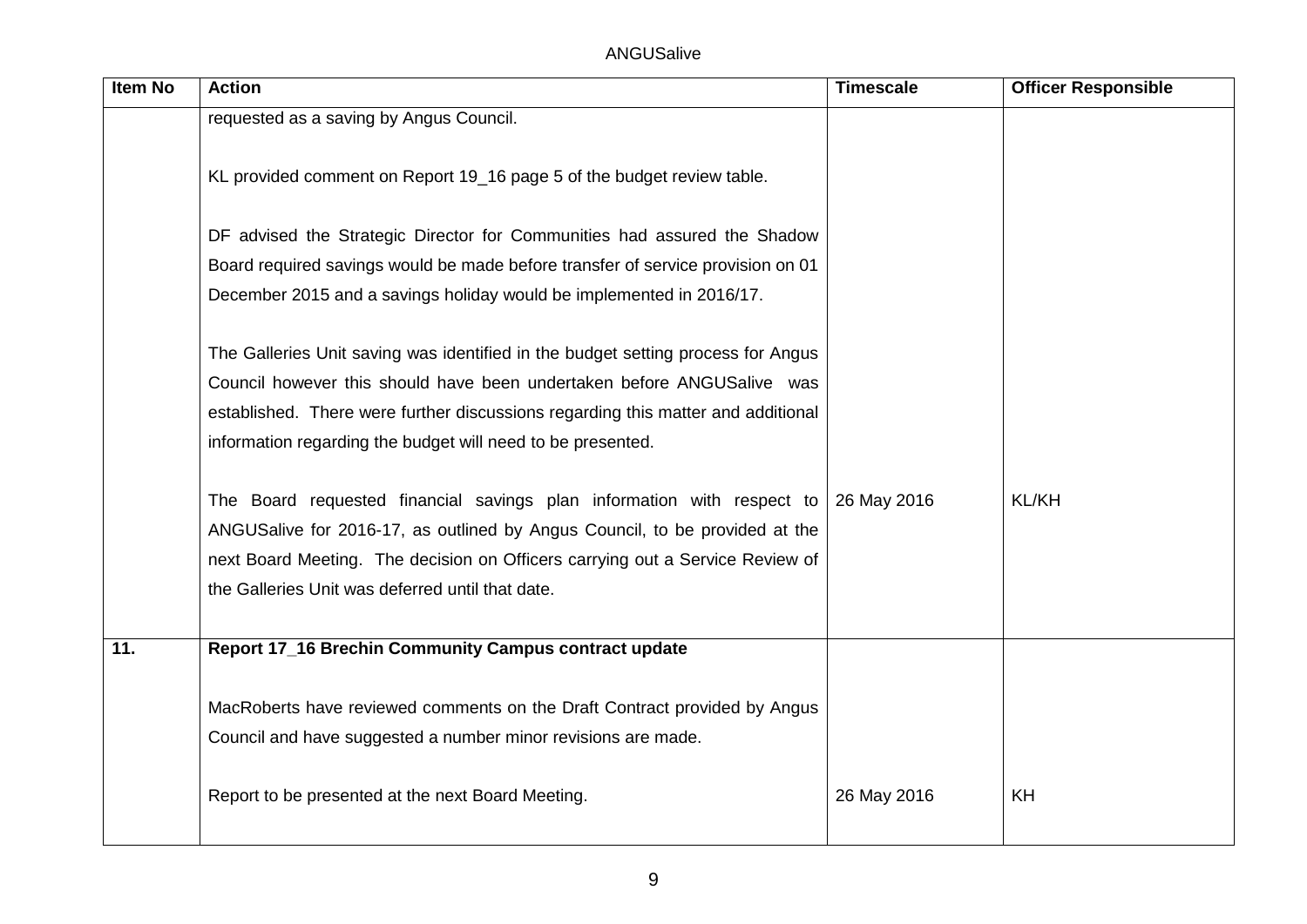| <b>Item No</b> | <b>Action</b>                                                                    | <b>Timescale</b> | <b>Officer Responsible</b> |
|----------------|----------------------------------------------------------------------------------|------------------|----------------------------|
|                | requested as a saving by Angus Council.                                          |                  |                            |
|                |                                                                                  |                  |                            |
|                | KL provided comment on Report 19_16 page 5 of the budget review table.           |                  |                            |
|                |                                                                                  |                  |                            |
|                | DF advised the Strategic Director for Communities had assured the Shadow         |                  |                            |
|                | Board required savings would be made before transfer of service provision on 01  |                  |                            |
|                | December 2015 and a savings holiday would be implemented in 2016/17.             |                  |                            |
|                |                                                                                  |                  |                            |
|                | The Galleries Unit saving was identified in the budget setting process for Angus |                  |                            |
|                | Council however this should have been undertaken before ANGUSalive was           |                  |                            |
|                | established. There were further discussions regarding this matter and additional |                  |                            |
|                | information regarding the budget will need to be presented.                      |                  |                            |
|                |                                                                                  |                  |                            |
|                | The Board requested financial savings plan information with respect to           | 26 May 2016      | <b>KL/KH</b>               |
|                | ANGUSalive for 2016-17, as outlined by Angus Council, to be provided at the      |                  |                            |
|                | next Board Meeting. The decision on Officers carrying out a Service Review of    |                  |                            |
|                | the Galleries Unit was deferred until that date.                                 |                  |                            |
|                |                                                                                  |                  |                            |
| 11.            | Report 17_16 Brechin Community Campus contract update                            |                  |                            |
|                |                                                                                  |                  |                            |
|                | MacRoberts have reviewed comments on the Draft Contract provided by Angus        |                  |                            |
|                | Council and have suggested a number minor revisions are made.                    |                  |                            |
|                |                                                                                  |                  |                            |
|                | Report to be presented at the next Board Meeting.                                | 26 May 2016      | <b>KH</b>                  |
|                |                                                                                  |                  |                            |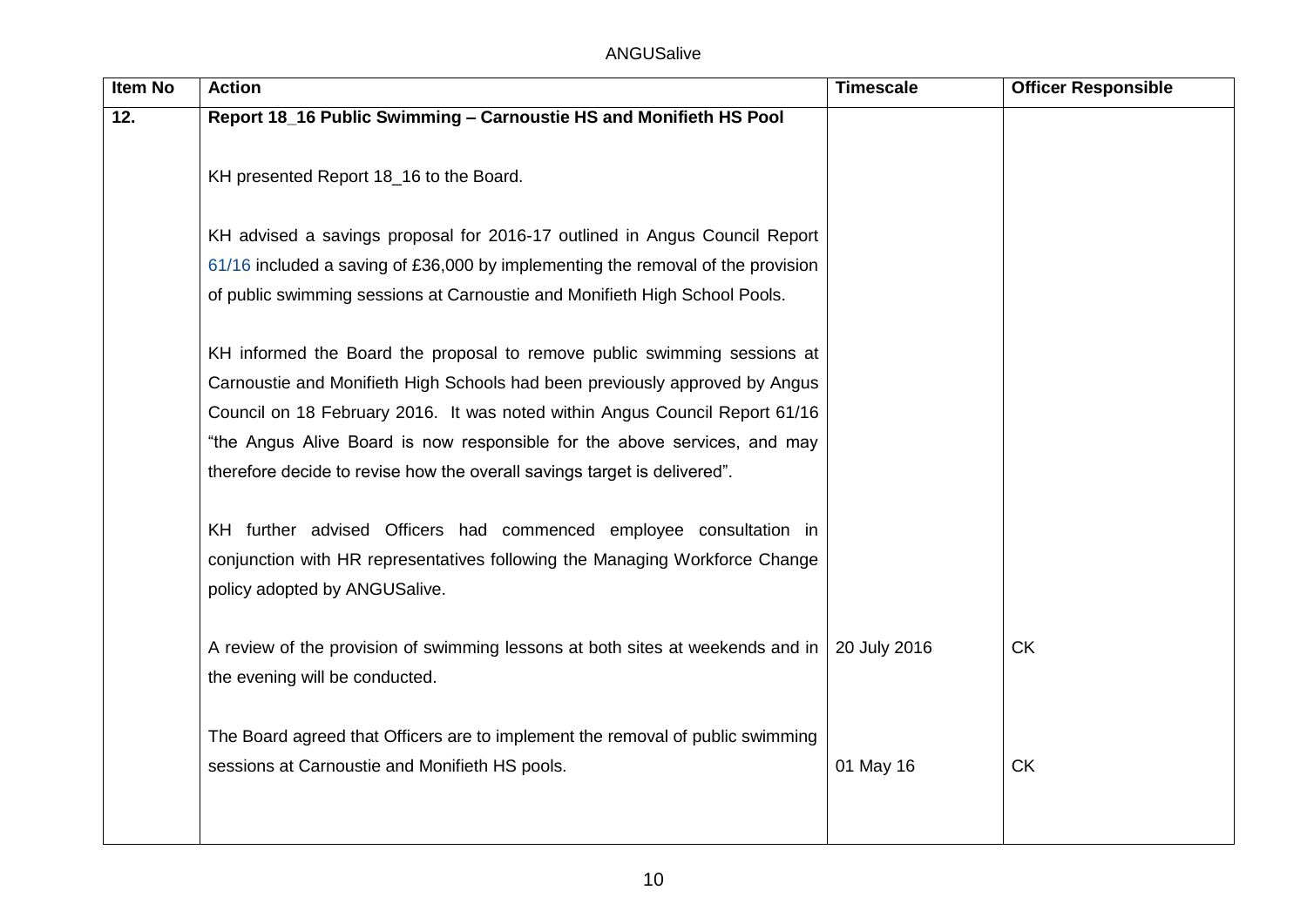| <b>Item No</b> | <b>Action</b>                                                                   | <b>Timescale</b> | <b>Officer Responsible</b> |
|----------------|---------------------------------------------------------------------------------|------------------|----------------------------|
| 12.            | Report 18_16 Public Swimming - Carnoustie HS and Monifieth HS Pool              |                  |                            |
|                |                                                                                 |                  |                            |
|                | KH presented Report 18_16 to the Board.                                         |                  |                            |
|                |                                                                                 |                  |                            |
|                | KH advised a savings proposal for 2016-17 outlined in Angus Council Report      |                  |                            |
|                | 61/16 included a saving of £36,000 by implementing the removal of the provision |                  |                            |
|                | of public swimming sessions at Carnoustie and Monifieth High School Pools.      |                  |                            |
|                |                                                                                 |                  |                            |
|                | KH informed the Board the proposal to remove public swimming sessions at        |                  |                            |
|                | Carnoustie and Monifieth High Schools had been previously approved by Angus     |                  |                            |
|                | Council on 18 February 2016. It was noted within Angus Council Report 61/16     |                  |                            |
|                | "the Angus Alive Board is now responsible for the above services, and may       |                  |                            |
|                | therefore decide to revise how the overall savings target is delivered".        |                  |                            |
|                |                                                                                 |                  |                            |
|                | KH further advised Officers had commenced employee consultation in              |                  |                            |
|                | conjunction with HR representatives following the Managing Workforce Change     |                  |                            |
|                | policy adopted by ANGUSalive.                                                   |                  |                            |
|                |                                                                                 |                  |                            |
|                | A review of the provision of swimming lessons at both sites at weekends and in  | 20 July 2016     | <b>CK</b>                  |
|                | the evening will be conducted.                                                  |                  |                            |
|                |                                                                                 |                  |                            |
|                | The Board agreed that Officers are to implement the removal of public swimming  |                  |                            |
|                | sessions at Carnoustie and Monifieth HS pools.                                  | 01 May 16        | <b>CK</b>                  |
|                |                                                                                 |                  |                            |
|                |                                                                                 |                  |                            |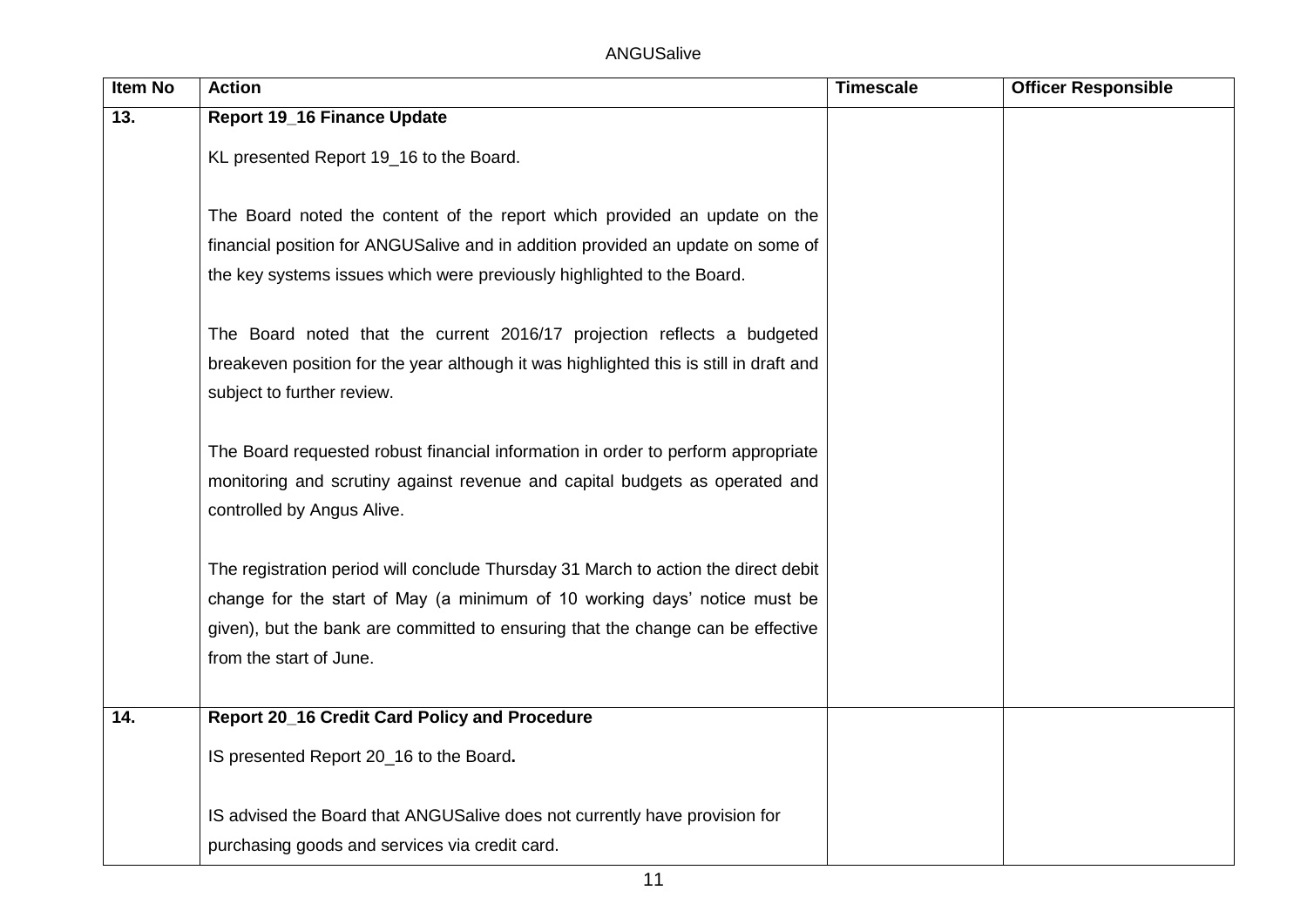| Item No | <b>Action</b>                                                                                              | <b>Timescale</b> | <b>Officer Responsible</b> |
|---------|------------------------------------------------------------------------------------------------------------|------------------|----------------------------|
| 13.     | <b>Report 19_16 Finance Update</b>                                                                         |                  |                            |
|         | KL presented Report 19_16 to the Board.                                                                    |                  |                            |
|         |                                                                                                            |                  |                            |
|         | The Board noted the content of the report which provided an update on the                                  |                  |                            |
|         | financial position for ANGUSalive and in addition provided an update on some of                            |                  |                            |
|         | the key systems issues which were previously highlighted to the Board.                                     |                  |                            |
|         |                                                                                                            |                  |                            |
|         | The Board noted that the current 2016/17 projection reflects a budgeted                                    |                  |                            |
|         | breakeven position for the year although it was highlighted this is still in draft and                     |                  |                            |
|         | subject to further review.                                                                                 |                  |                            |
|         |                                                                                                            |                  |                            |
|         | The Board requested robust financial information in order to perform appropriate                           |                  |                            |
|         | monitoring and scrutiny against revenue and capital budgets as operated and                                |                  |                            |
|         | controlled by Angus Alive.                                                                                 |                  |                            |
|         |                                                                                                            |                  |                            |
|         | The registration period will conclude Thursday 31 March to action the direct debit                         |                  |                            |
|         | change for the start of May (a minimum of 10 working days' notice must be                                  |                  |                            |
|         | given), but the bank are committed to ensuring that the change can be effective<br>from the start of June. |                  |                            |
|         |                                                                                                            |                  |                            |
| 14.     | <b>Report 20_16 Credit Card Policy and Procedure</b>                                                       |                  |                            |
|         |                                                                                                            |                  |                            |
|         | IS presented Report 20_16 to the Board.                                                                    |                  |                            |
|         |                                                                                                            |                  |                            |
|         | IS advised the Board that ANGUSalive does not currently have provision for                                 |                  |                            |
|         | purchasing goods and services via credit card.                                                             |                  |                            |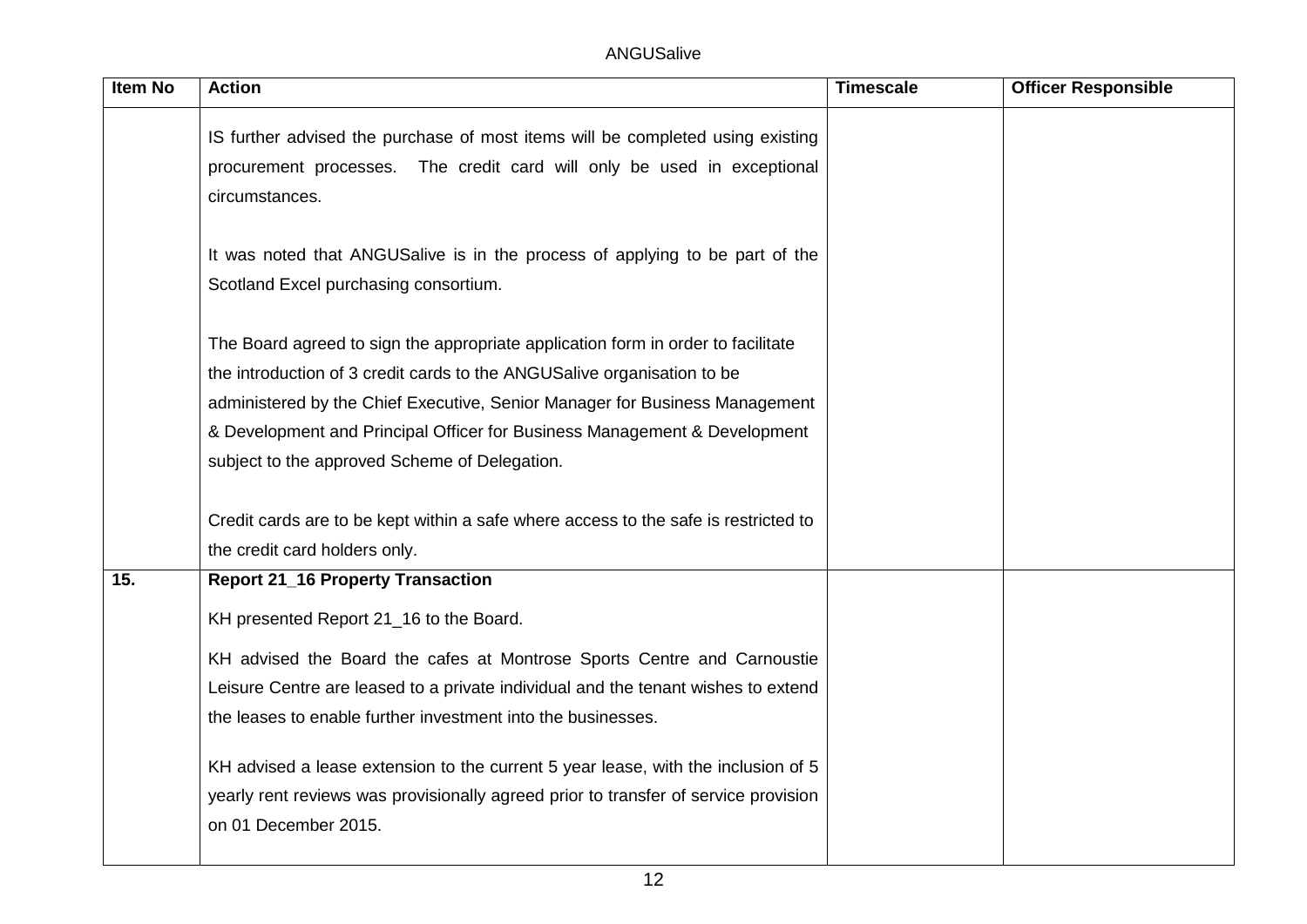| <b>Item No</b> | <b>Action</b>                                                                       | <b>Timescale</b> | <b>Officer Responsible</b> |
|----------------|-------------------------------------------------------------------------------------|------------------|----------------------------|
|                | IS further advised the purchase of most items will be completed using existing      |                  |                            |
|                | procurement processes. The credit card will only be used in exceptional             |                  |                            |
|                | circumstances.                                                                      |                  |                            |
|                |                                                                                     |                  |                            |
|                | It was noted that ANGUSalive is in the process of applying to be part of the        |                  |                            |
|                | Scotland Excel purchasing consortium.                                               |                  |                            |
|                | The Board agreed to sign the appropriate application form in order to facilitate    |                  |                            |
|                | the introduction of 3 credit cards to the ANGUSalive organisation to be             |                  |                            |
|                | administered by the Chief Executive, Senior Manager for Business Management         |                  |                            |
|                | & Development and Principal Officer for Business Management & Development           |                  |                            |
|                | subject to the approved Scheme of Delegation.                                       |                  |                            |
|                | Credit cards are to be kept within a safe where access to the safe is restricted to |                  |                            |
|                | the credit card holders only.                                                       |                  |                            |
| 15.            | <b>Report 21_16 Property Transaction</b>                                            |                  |                            |
|                | KH presented Report 21_16 to the Board.                                             |                  |                            |
|                | KH advised the Board the cafes at Montrose Sports Centre and Carnoustie             |                  |                            |
|                | Leisure Centre are leased to a private individual and the tenant wishes to extend   |                  |                            |
|                | the leases to enable further investment into the businesses.                        |                  |                            |
|                | KH advised a lease extension to the current 5 year lease, with the inclusion of 5   |                  |                            |
|                | yearly rent reviews was provisionally agreed prior to transfer of service provision |                  |                            |
|                | on 01 December 2015.                                                                |                  |                            |
|                |                                                                                     |                  |                            |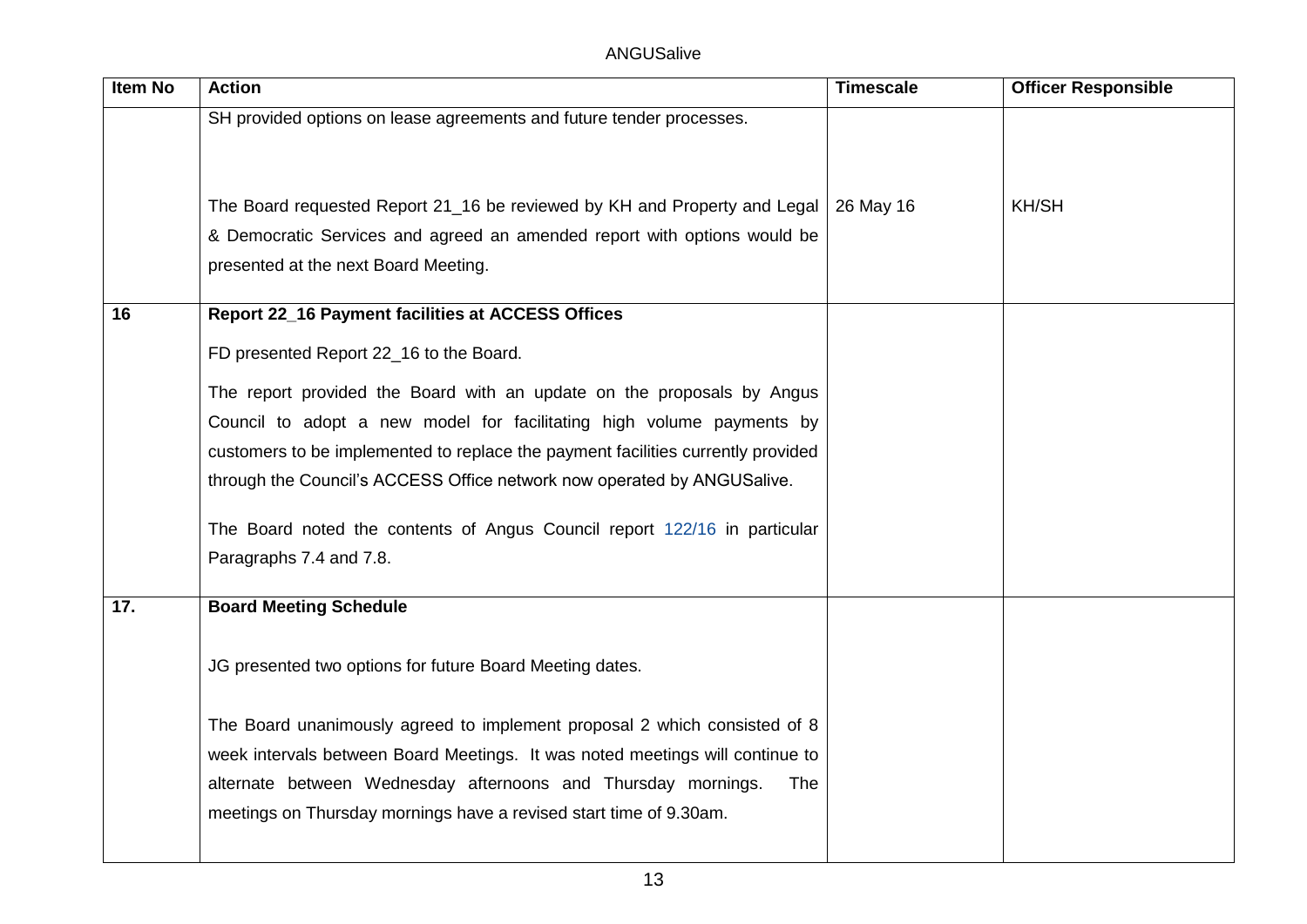| <b>Item No</b> | <b>Action</b>                                                                                                                                                                                             | <b>Timescale</b> | <b>Officer Responsible</b> |
|----------------|-----------------------------------------------------------------------------------------------------------------------------------------------------------------------------------------------------------|------------------|----------------------------|
|                | SH provided options on lease agreements and future tender processes.                                                                                                                                      |                  |                            |
|                | The Board requested Report 21_16 be reviewed by KH and Property and Legal   26 May 16<br>& Democratic Services and agreed an amended report with options would be<br>presented at the next Board Meeting. |                  | <b>KH/SH</b>               |
| 16             | <b>Report 22_16 Payment facilities at ACCESS Offices</b>                                                                                                                                                  |                  |                            |
|                | FD presented Report 22_16 to the Board.                                                                                                                                                                   |                  |                            |
|                | The report provided the Board with an update on the proposals by Angus                                                                                                                                    |                  |                            |
|                | Council to adopt a new model for facilitating high volume payments by                                                                                                                                     |                  |                            |
|                | customers to be implemented to replace the payment facilities currently provided                                                                                                                          |                  |                            |
|                | through the Council's ACCESS Office network now operated by ANGUSalive.                                                                                                                                   |                  |                            |
|                | The Board noted the contents of Angus Council report 122/16 in particular                                                                                                                                 |                  |                            |
|                | Paragraphs 7.4 and 7.8.                                                                                                                                                                                   |                  |                            |
| 17.            | <b>Board Meeting Schedule</b>                                                                                                                                                                             |                  |                            |
|                | JG presented two options for future Board Meeting dates.                                                                                                                                                  |                  |                            |
|                | The Board unanimously agreed to implement proposal 2 which consisted of 8                                                                                                                                 |                  |                            |
|                | week intervals between Board Meetings. It was noted meetings will continue to                                                                                                                             |                  |                            |
|                | alternate between Wednesday afternoons and Thursday mornings.<br>The                                                                                                                                      |                  |                            |
|                | meetings on Thursday mornings have a revised start time of 9.30am.                                                                                                                                        |                  |                            |
|                |                                                                                                                                                                                                           |                  |                            |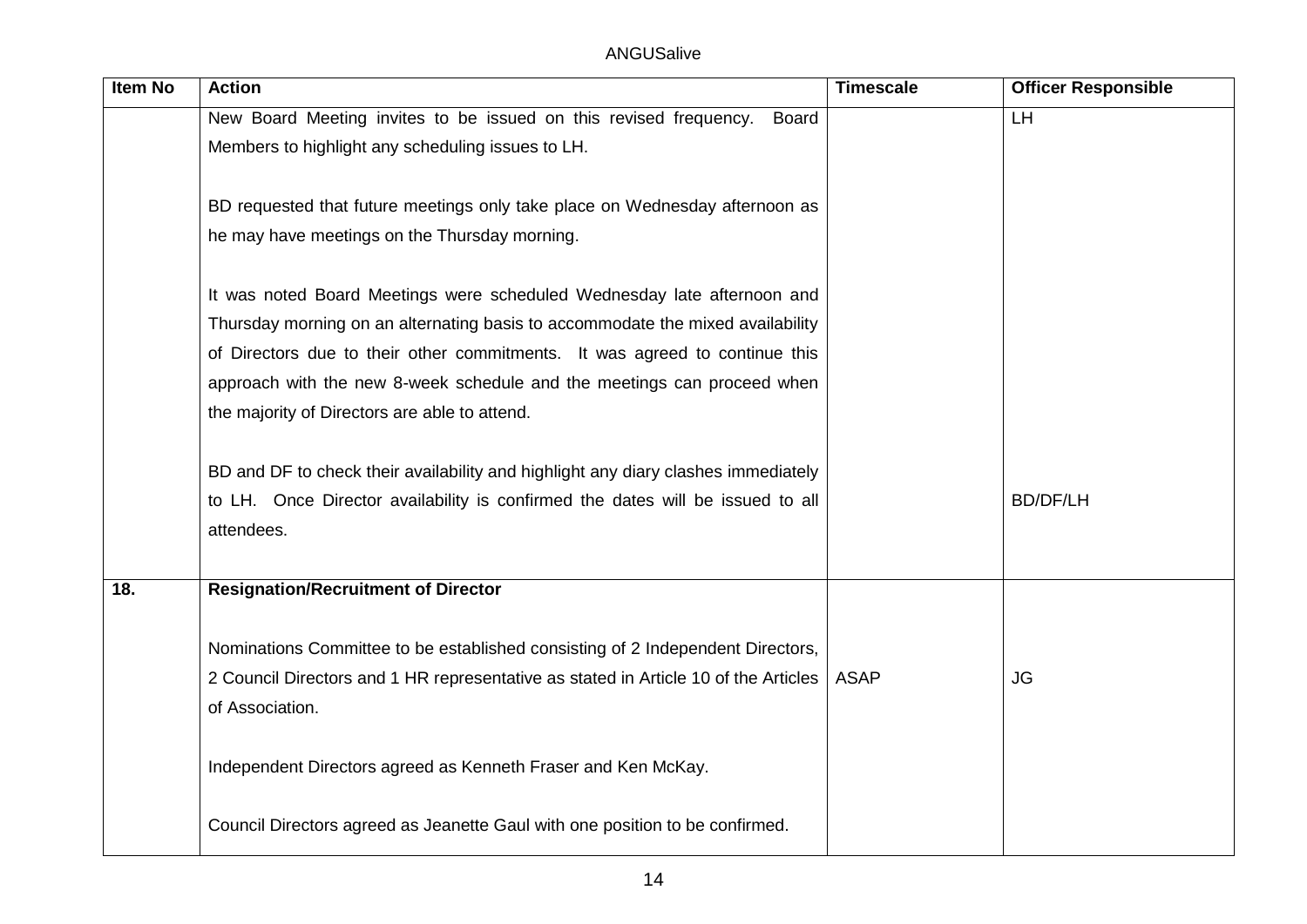ANGUSalive

| <b>Item No</b> | <b>Action</b>                                                                       | <b>Timescale</b> | <b>Officer Responsible</b> |
|----------------|-------------------------------------------------------------------------------------|------------------|----------------------------|
|                | New Board Meeting invites to be issued on this revised frequency.<br><b>Board</b>   |                  | LH                         |
|                | Members to highlight any scheduling issues to LH.                                   |                  |                            |
|                |                                                                                     |                  |                            |
|                | BD requested that future meetings only take place on Wednesday afternoon as         |                  |                            |
|                | he may have meetings on the Thursday morning.                                       |                  |                            |
|                |                                                                                     |                  |                            |
|                | It was noted Board Meetings were scheduled Wednesday late afternoon and             |                  |                            |
|                | Thursday morning on an alternating basis to accommodate the mixed availability      |                  |                            |
|                | of Directors due to their other commitments. It was agreed to continue this         |                  |                            |
|                | approach with the new 8-week schedule and the meetings can proceed when             |                  |                            |
|                | the majority of Directors are able to attend.                                       |                  |                            |
|                |                                                                                     |                  |                            |
|                | BD and DF to check their availability and highlight any diary clashes immediately   |                  |                            |
|                | to LH. Once Director availability is confirmed the dates will be issued to all      |                  | <b>BD/DF/LH</b>            |
|                | attendees.                                                                          |                  |                            |
|                |                                                                                     |                  |                            |
| 18.            | <b>Resignation/Recruitment of Director</b>                                          |                  |                            |
|                |                                                                                     |                  |                            |
|                | Nominations Committee to be established consisting of 2 Independent Directors,      | <b>ASAP</b>      | <b>JG</b>                  |
|                | 2 Council Directors and 1 HR representative as stated in Article 10 of the Articles |                  |                            |
|                | of Association.                                                                     |                  |                            |
|                | Independent Directors agreed as Kenneth Fraser and Ken McKay.                       |                  |                            |
|                |                                                                                     |                  |                            |
|                | Council Directors agreed as Jeanette Gaul with one position to be confirmed.        |                  |                            |
|                |                                                                                     |                  |                            |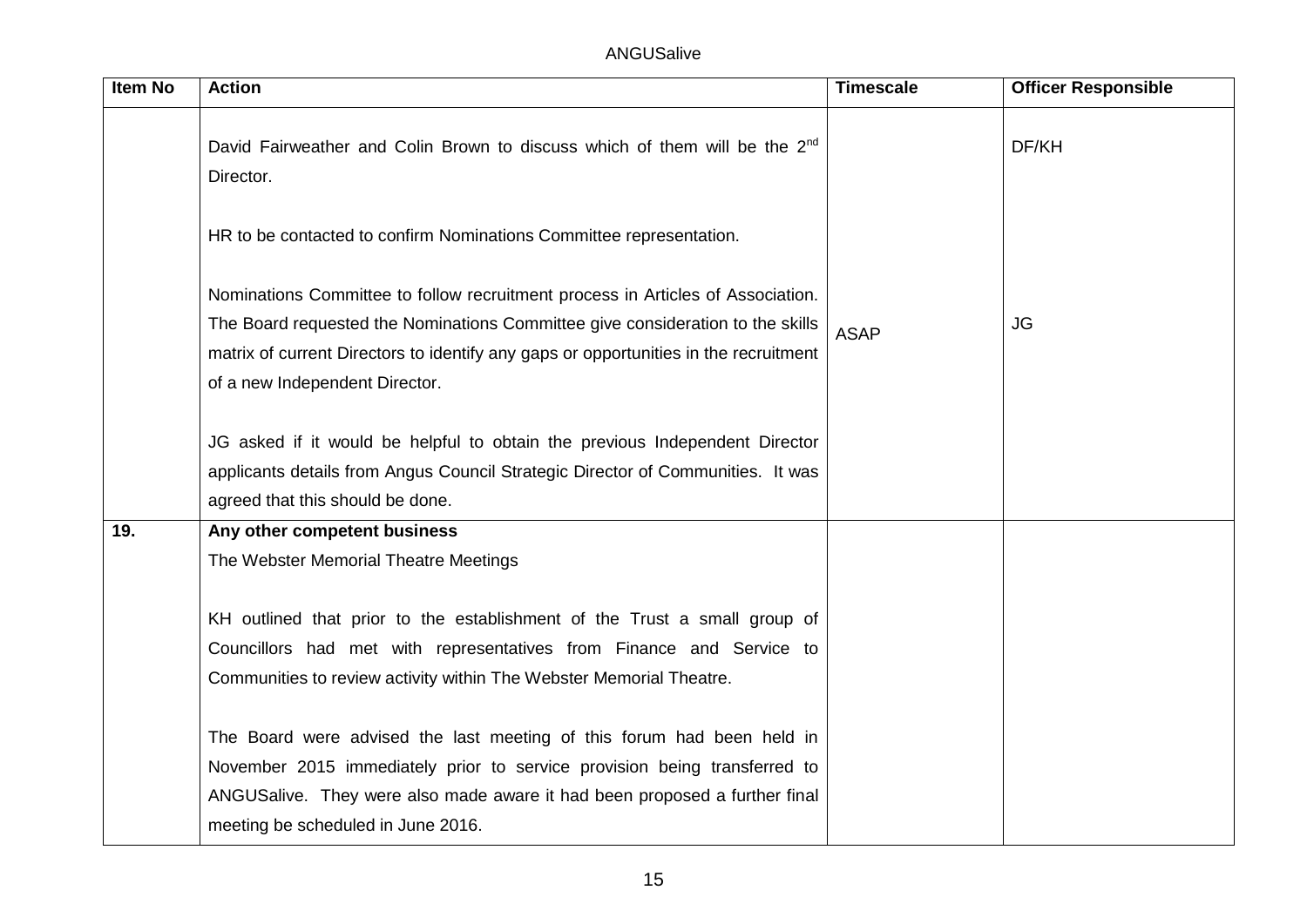| Item No | <b>Action</b>                                                                                                                                                                                                                                                                               | <b>Timescale</b> | <b>Officer Responsible</b> |
|---------|---------------------------------------------------------------------------------------------------------------------------------------------------------------------------------------------------------------------------------------------------------------------------------------------|------------------|----------------------------|
|         | David Fairweather and Colin Brown to discuss which of them will be the 2 <sup>nd</sup><br>Director.                                                                                                                                                                                         |                  | DF/KH                      |
|         | HR to be contacted to confirm Nominations Committee representation.                                                                                                                                                                                                                         |                  |                            |
|         | Nominations Committee to follow recruitment process in Articles of Association.<br>The Board requested the Nominations Committee give consideration to the skills<br>matrix of current Directors to identify any gaps or opportunities in the recruitment<br>of a new Independent Director. | <b>ASAP</b>      | <b>JG</b>                  |
|         | JG asked if it would be helpful to obtain the previous Independent Director<br>applicants details from Angus Council Strategic Director of Communities. It was<br>agreed that this should be done.                                                                                          |                  |                            |
| 19.     | Any other competent business                                                                                                                                                                                                                                                                |                  |                            |
|         | The Webster Memorial Theatre Meetings                                                                                                                                                                                                                                                       |                  |                            |
|         | KH outlined that prior to the establishment of the Trust a small group of<br>Councillors had met with representatives from Finance and Service to<br>Communities to review activity within The Webster Memorial Theatre.                                                                    |                  |                            |
|         | The Board were advised the last meeting of this forum had been held in<br>November 2015 immediately prior to service provision being transferred to<br>ANGUSalive. They were also made aware it had been proposed a further final<br>meeting be scheduled in June 2016.                     |                  |                            |